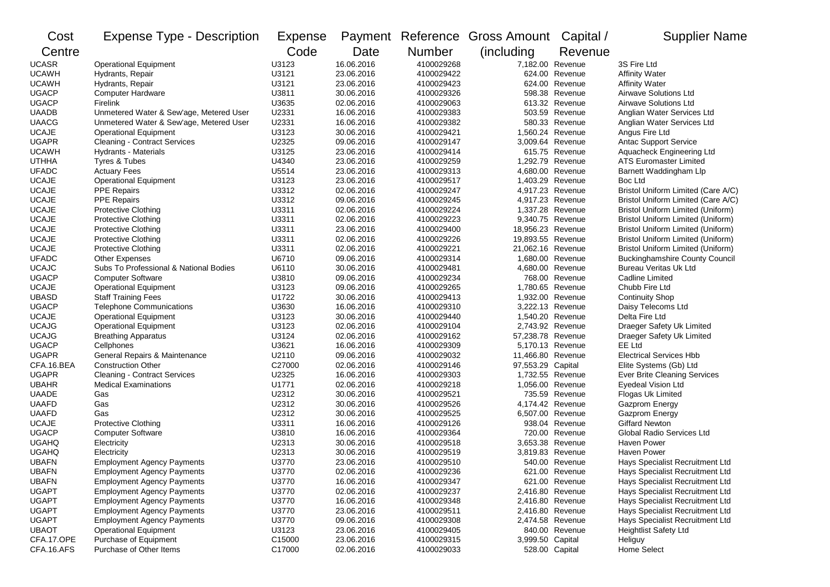| Cost         | <b>Expense Type - Description</b>       | Expense |            |               | Payment Reference Gross Amount | Capital /      | <b>Supplier Name</b>                  |
|--------------|-----------------------------------------|---------|------------|---------------|--------------------------------|----------------|---------------------------------------|
| Centre       |                                         | Code    | Date       | <b>Number</b> | (including)                    | Revenue        |                                       |
| <b>UCASR</b> | <b>Operational Equipment</b>            | U3123   | 16.06.2016 | 4100029268    | 7,182.00 Revenue               |                | 3S Fire Ltd                           |
| <b>UCAWH</b> | Hydrants, Repair                        | U3121   | 23.06.2016 | 4100029422    |                                | 624.00 Revenue | <b>Affinity Water</b>                 |
| <b>UCAWH</b> | Hydrants, Repair                        | U3121   | 23.06.2016 | 4100029423    |                                | 624.00 Revenue | <b>Affinity Water</b>                 |
| <b>UGACP</b> | Computer Hardware                       | U3811   | 30.06.2016 | 4100029326    |                                | 598.38 Revenue | Airwave Solutions Ltd                 |
| <b>UGACP</b> | Firelink                                | U3635   | 02.06.2016 | 4100029063    |                                | 613.32 Revenue | <b>Airwave Solutions Ltd</b>          |
| <b>UAADB</b> | Unmetered Water & Sew'age, Metered User | U2331   | 16.06.2016 | 4100029383    |                                | 503.59 Revenue | Anglian Water Services Ltd            |
| <b>UAACG</b> | Unmetered Water & Sew'age, Metered User | U2331   | 16.06.2016 | 4100029382    |                                | 580.33 Revenue | Anglian Water Services Ltd            |
| <b>UCAJE</b> | <b>Operational Equipment</b>            | U3123   | 30.06.2016 | 4100029421    | 1,560.24 Revenue               |                | Angus Fire Ltd                        |
| <b>UGAPR</b> | <b>Cleaning - Contract Services</b>     | U2325   | 09.06.2016 | 4100029147    | 3,009.64 Revenue               |                | Antac Support Service                 |
| <b>UCAWH</b> | Hydrants - Materials                    | U3125   | 23.06.2016 | 4100029414    |                                | 615.75 Revenue | Aquacheck Engineering Ltd             |
| <b>UTHHA</b> | Tyres & Tubes                           | U4340   | 23.06.2016 | 4100029259    | 1,292.79 Revenue               |                | <b>ATS Euromaster Limited</b>         |
| <b>UFADC</b> | <b>Actuary Fees</b>                     | U5514   | 23.06.2016 | 4100029313    | 4,680.00 Revenue               |                | Barnett Waddingham Llp                |
| <b>UCAJE</b> | <b>Operational Equipment</b>            | U3123   | 23.06.2016 | 4100029517    | 1,403.29 Revenue               |                | Boc Ltd                               |
| <b>UCAJE</b> | <b>PPE Repairs</b>                      | U3312   | 02.06.2016 | 4100029247    | 4,917.23 Revenue               |                | Bristol Uniform Limited (Care A/C)    |
| <b>UCAJE</b> | PPE Repairs                             | U3312   | 09.06.2016 | 4100029245    | 4,917.23 Revenue               |                | Bristol Uniform Limited (Care A/C)    |
| <b>UCAJE</b> | <b>Protective Clothing</b>              | U3311   | 02.06.2016 | 4100029224    | 1,337.28 Revenue               |                | Bristol Uniform Limited (Uniform)     |
| <b>UCAJE</b> | <b>Protective Clothing</b>              | U3311   | 02.06.2016 | 4100029223    | 9,340.75 Revenue               |                | Bristol Uniform Limited (Uniform)     |
| <b>UCAJE</b> | <b>Protective Clothing</b>              | U3311   | 23.06.2016 | 4100029400    | 18,956.23 Revenue              |                | Bristol Uniform Limited (Uniform)     |
| <b>UCAJE</b> | <b>Protective Clothing</b>              | U3311   | 02.06.2016 | 4100029226    | 19,893.55 Revenue              |                | Bristol Uniform Limited (Uniform)     |
| <b>UCAJE</b> | <b>Protective Clothing</b>              | U3311   | 02.06.2016 | 4100029221    | 21,062.16 Revenue              |                | Bristol Uniform Limited (Uniform)     |
| <b>UFADC</b> | <b>Other Expenses</b>                   | U6710   | 09.06.2016 | 4100029314    | 1,680.00 Revenue               |                | <b>Buckinghamshire County Council</b> |
| <b>UCAJC</b> | Subs To Professional & National Bodies  | U6110   | 30.06.2016 | 4100029481    | 4,680.00 Revenue               |                | <b>Bureau Veritas Uk Ltd</b>          |
| <b>UGACP</b> | <b>Computer Software</b>                | U3810   | 09.06.2016 | 4100029234    |                                | 768.00 Revenue | Cadline Limited                       |
| <b>UCAJE</b> | <b>Operational Equipment</b>            | U3123   | 09.06.2016 | 4100029265    | 1,780.65 Revenue               |                | Chubb Fire Ltd                        |
| <b>UBASD</b> | <b>Staff Training Fees</b>              | U1722   | 30.06.2016 | 4100029413    | 1,932.00 Revenue               |                | <b>Continuity Shop</b>                |
| <b>UGACP</b> | <b>Telephone Communications</b>         | U3630   | 16.06.2016 | 4100029310    | 3,222.13 Revenue               |                | Daisy Telecoms Ltd                    |
| <b>UCAJE</b> | <b>Operational Equipment</b>            | U3123   | 30.06.2016 | 4100029440    | 1,540.20 Revenue               |                | Delta Fire Ltd                        |
| <b>UCAJG</b> | <b>Operational Equipment</b>            | U3123   | 02.06.2016 | 4100029104    | 2,743.92 Revenue               |                | Draeger Safety Uk Limited             |
| <b>UCAJG</b> | <b>Breathing Apparatus</b>              | U3124   | 02.06.2016 | 4100029162    | 57,238.78 Revenue              |                | Draeger Safety Uk Limited             |
| <b>UGACP</b> | Cellphones                              | U3621   | 16.06.2016 | 4100029309    | 5,170.13 Revenue               |                | EE Ltd                                |
| <b>UGAPR</b> | General Repairs & Maintenance           | U2110   | 09.06.2016 | 4100029032    | 11,466.80 Revenue              |                | <b>Electrical Services Hbb</b>        |
| CFA.16.BEA   | <b>Construction Other</b>               | C27000  | 02.06.2016 | 4100029146    | 97,553.29 Capital              |                | Elite Systems (Gb) Ltd                |
| <b>UGAPR</b> | <b>Cleaning - Contract Services</b>     | U2325   | 16.06.2016 | 4100029303    | 1,732.55 Revenue               |                | Ever Brite Cleaning Services          |
| <b>UBAHR</b> | <b>Medical Examinations</b>             | U1771   | 02.06.2016 | 4100029218    | 1,056.00 Revenue               |                | Eyedeal Vision Ltd                    |
| <b>UAADE</b> | Gas                                     | U2312   | 30.06.2016 | 4100029521    |                                | 735.59 Revenue | Flogas Uk Limited                     |
| <b>UAAFD</b> | Gas                                     | U2312   | 30.06.2016 | 4100029526    | 4,174.42 Revenue               |                | Gazprom Energy                        |
| <b>UAAFD</b> | Gas                                     | U2312   | 30.06.2016 | 4100029525    | 6,507.00 Revenue               |                | Gazprom Energy                        |
| <b>UCAJE</b> | <b>Protective Clothing</b>              | U3311   | 16.06.2016 | 4100029126    |                                | 938.04 Revenue | <b>Giffard Newton</b>                 |
| <b>UGACP</b> | <b>Computer Software</b>                | U3810   | 16.06.2016 | 4100029364    |                                | 720.00 Revenue | Global Radio Services Ltd             |
| <b>UGAHQ</b> | Electricity                             | U2313   | 30.06.2016 | 4100029518    | 3,653.38 Revenue               |                | Haven Power                           |
| <b>UGAHQ</b> | Electricity                             | U2313   | 30.06.2016 | 4100029519    | 3,819.83 Revenue               |                | Haven Power                           |
| <b>UBAFN</b> | <b>Employment Agency Payments</b>       | U3770   | 23.06.2016 | 4100029510    |                                | 540.00 Revenue | Hays Specialist Recruitment Ltd       |
| <b>UBAFN</b> | <b>Employment Agency Payments</b>       | U3770   | 02.06.2016 | 4100029236    |                                | 621.00 Revenue | Hays Specialist Recruitment Ltd       |
| <b>UBAFN</b> | <b>Employment Agency Payments</b>       | U3770   | 16.06.2016 | 4100029347    |                                | 621.00 Revenue | Hays Specialist Recruitment Ltd       |
| <b>UGAPT</b> | <b>Employment Agency Payments</b>       | U3770   | 02.06.2016 | 4100029237    | 2,416.80 Revenue               |                | Hays Specialist Recruitment Ltd       |
| <b>UGAPT</b> | <b>Employment Agency Payments</b>       | U3770   | 16.06.2016 | 4100029348    | 2,416.80 Revenue               |                | Hays Specialist Recruitment Ltd       |
| <b>UGAPT</b> | <b>Employment Agency Payments</b>       | U3770   | 23.06.2016 | 4100029511    | 2,416.80 Revenue               |                | Hays Specialist Recruitment Ltd       |
| <b>UGAPT</b> | <b>Employment Agency Payments</b>       | U3770   | 09.06.2016 | 4100029308    | 2,474.58 Revenue               |                | Hays Specialist Recruitment Ltd       |
| <b>UBAOT</b> | <b>Operational Equipment</b>            | U3123   | 23.06.2016 | 4100029405    |                                | 840.00 Revenue | <b>Heightlist Safety Ltd</b>          |
| CFA.17.OPE   | Purchase of Equipment                   | C15000  | 23.06.2016 | 4100029315    | 3,999.50 Capital               |                | Heliguy                               |
| CFA.16.AFS   | Purchase of Other Items                 | C17000  | 02.06.2016 | 4100029033    | 528.00 Capital                 |                | <b>Home Select</b>                    |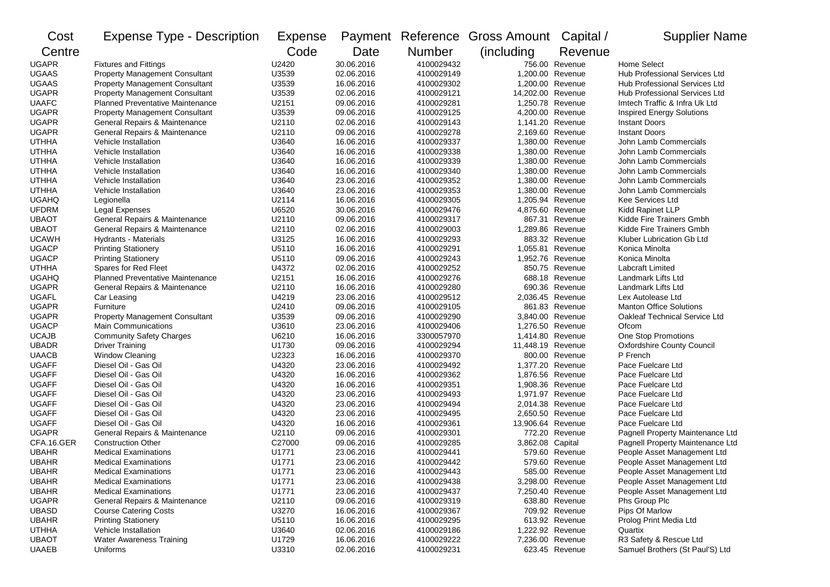| Cost         | Expense Type - Description              | <b>Expense</b> |            |               | Payment Reference Gross Amount | Capital /      | <b>Supplier Name</b>              |
|--------------|-----------------------------------------|----------------|------------|---------------|--------------------------------|----------------|-----------------------------------|
| Centre       |                                         | Code           | Date       | <b>Number</b> | (including)                    | Revenue        |                                   |
| <b>UGAPR</b> | <b>Fixtures and Fittings</b>            | U2420          | 30.06.2016 | 4100029432    |                                | 756.00 Revenue | <b>Home Select</b>                |
| <b>UGAAS</b> | <b>Property Management Consultant</b>   | U3539          | 02.06.2016 | 4100029149    | 1,200.00 Revenue               |                | Hub Professional Services Ltd     |
| <b>UGAAS</b> | <b>Property Management Consultant</b>   | U3539          | 16.06.2016 | 4100029302    | 1,200.00 Revenue               |                | Hub Professional Services Ltd     |
| <b>UGAPR</b> | <b>Property Management Consultant</b>   | U3539          | 02.06.2016 | 4100029121    | 14,202.00 Revenue              |                | Hub Professional Services Ltd     |
| <b>UAAFC</b> | <b>Planned Preventative Maintenance</b> | U2151          | 09.06.2016 | 4100029281    | 1,250.78 Revenue               |                | Imtech Traffic & Infra Uk Ltd     |
| <b>UGAPR</b> | <b>Property Management Consultant</b>   | U3539          | 09.06.2016 | 4100029125    | 4,200.00 Revenue               |                | <b>Inspired Energy Solutions</b>  |
| <b>UGAPR</b> | General Repairs & Maintenance           | U2110          | 02.06.2016 | 4100029143    | 1,141.20 Revenue               |                | <b>Instant Doors</b>              |
| <b>UGAPR</b> | General Repairs & Maintenance           | U2110          | 09.06.2016 | 4100029278    | 2,169.60 Revenue               |                | <b>Instant Doors</b>              |
| <b>UTHHA</b> | Vehicle Installation                    | U3640          | 16.06.2016 | 4100029337    | 1,380.00 Revenue               |                | John Lamb Commercials             |
| <b>UTHHA</b> | Vehicle Installation                    | U3640          | 16.06.2016 | 4100029338    | 1,380.00 Revenue               |                | John Lamb Commercials             |
| <b>UTHHA</b> | Vehicle Installation                    | U3640          | 16.06.2016 | 4100029339    | 1,380.00 Revenue               |                | John Lamb Commercials             |
| <b>UTHHA</b> | Vehicle Installation                    | U3640          | 16.06.2016 | 4100029340    | 1,380.00 Revenue               |                | John Lamb Commercials             |
| <b>UTHHA</b> | Vehicle Installation                    | U3640          | 23.06.2016 | 4100029352    | 1,380.00 Revenue               |                | John Lamb Commercials             |
| <b>UTHHA</b> | Vehicle Installation                    | U3640          | 23.06.2016 | 4100029353    | 1,380.00 Revenue               |                | John Lamb Commercials             |
| <b>UGAHQ</b> | Legionella                              | U2114          | 16.06.2016 | 4100029305    | 1,205.94 Revenue               |                | Kee Services Ltd                  |
| <b>UFDRM</b> | Legal Expenses                          | U6520          | 30.06.2016 | 4100029476    | 4,875.60 Revenue               |                | Kidd Rapinet LLP                  |
| <b>UBAOT</b> | General Repairs & Maintenance           | U2110          | 09.06.2016 | 4100029317    |                                | 867.31 Revenue | Kidde Fire Trainers Gmbh          |
| <b>UBAOT</b> | General Repairs & Maintenance           | U2110          | 02.06.2016 | 4100029003    | 1,289.86 Revenue               |                | Kidde Fire Trainers Gmbh          |
| <b>UCAWH</b> | Hydrants - Materials                    | U3125          | 16.06.2016 | 4100029293    |                                | 883.32 Revenue | Kluber Lubrication Gb Ltd         |
| <b>UGACP</b> | <b>Printing Stationery</b>              | U5110          | 16.06.2016 | 4100029291    | 1,055.81 Revenue               |                | Konica Minolta                    |
| <b>UGACP</b> | <b>Printing Stationery</b>              | U5110          | 09.06.2016 | 4100029243    | 1,952.76 Revenue               |                | Konica Minolta                    |
| <b>UTHHA</b> | Spares for Red Fleet                    | U4372          | 02.06.2016 | 4100029252    |                                | 850.75 Revenue | Labcraft Limited                  |
| <b>UGAHQ</b> | <b>Planned Preventative Maintenance</b> | U2151          | 16.06.2016 | 4100029276    |                                | 688.18 Revenue | Landmark Lifts Ltd                |
| <b>UGAPR</b> | General Repairs & Maintenance           | U2110          | 16.06.2016 | 4100029280    |                                | 690.36 Revenue | Landmark Lifts Ltd                |
| <b>UGAFL</b> | Car Leasing                             | U4219          | 23.06.2016 | 4100029512    | 2,036.45 Revenue               |                | Lex Autolease Ltd                 |
| <b>UGAPR</b> | Furniture                               | U2410          | 09.06.2016 | 4100029105    |                                | 861.83 Revenue | <b>Manton Office Solutions</b>    |
| <b>UGAPR</b> | <b>Property Management Consultant</b>   | U3539          | 09.06.2016 | 4100029290    | 3,840.00 Revenue               |                | Oakleaf Technical Service Ltd     |
| <b>UGACP</b> | Main Communications                     | U3610          | 23.06.2016 | 4100029406    | 1,276.50 Revenue               |                | Ofcom                             |
| <b>UCAJB</b> | <b>Community Safety Charges</b>         | U6210          | 16.06.2016 | 3300057970    | 1,414.80 Revenue               |                | One Stop Promotions               |
| <b>UBADR</b> | Driver Training                         | U1730          | 09.06.2016 | 4100029294    | 11,448.19 Revenue              |                | <b>Oxfordshire County Council</b> |
| <b>UAACB</b> | <b>Window Cleaning</b>                  | U2323          | 16.06.2016 | 4100029370    |                                | 800.00 Revenue | P French                          |
| <b>UGAFF</b> | Diesel Oil - Gas Oil                    | U4320          | 23.06.2016 | 4100029492    | 1,377.20 Revenue               |                | Pace Fuelcare Ltd                 |
| <b>UGAFF</b> | Diesel Oil - Gas Oil                    | U4320          | 16.06.2016 | 4100029362    | 1,876.56 Revenue               |                | Pace Fuelcare Ltd                 |
| <b>UGAFF</b> | Diesel Oil - Gas Oil                    | U4320          | 16.06.2016 | 4100029351    | 1,908.36 Revenue               |                | Pace Fuelcare Ltd                 |
| <b>UGAFF</b> | Diesel Oil - Gas Oil                    | U4320          | 23.06.2016 | 4100029493    | 1,971.97 Revenue               |                | Pace Fuelcare Ltd                 |
| <b>UGAFF</b> | Diesel Oil - Gas Oil                    | U4320          | 23.06.2016 | 4100029494    | 2,014.38 Revenue               |                | Pace Fuelcare Ltd                 |
| <b>UGAFF</b> | Diesel Oil - Gas Oil                    | U4320          | 23.06.2016 | 4100029495    | 2,650.50 Revenue               |                | Pace Fuelcare Ltd                 |
| <b>UGAFF</b> | Diesel Oil - Gas Oil                    | U4320          | 16.06.2016 | 4100029361    | 13,906.64 Revenue              |                | Pace Fuelcare Ltd                 |
| <b>UGAPR</b> | General Repairs & Maintenance           | U2110          | 09.06.2016 | 4100029301    |                                | 772.20 Revenue | Pagnell Property Maintenance Ltd  |
| CFA.16.GER   | <b>Construction Other</b>               | C27000         | 09.06.2016 | 4100029285    | 3,862.08 Capital               |                | Pagnell Property Maintenance Ltd  |
| <b>UBAHR</b> | <b>Medical Examinations</b>             | U1771          | 23.06.2016 | 4100029441    |                                | 579.60 Revenue | People Asset Management Ltd       |
| <b>UBAHR</b> | Medical Examinations                    | U1771          | 23.06.2016 | 4100029442    |                                | 579.60 Revenue | People Asset Management Ltd       |
| <b>UBAHR</b> | <b>Medical Examinations</b>             | U1771          | 23.06.2016 | 4100029443    |                                | 585.00 Revenue | People Asset Management Ltd       |
| <b>UBAHR</b> | Medical Examinations                    | U1771          | 23.06.2016 | 4100029438    | 3,298.00 Revenue               |                | People Asset Management Ltd       |
| <b>UBAHR</b> | <b>Medical Examinations</b>             | U1771          | 23.06.2016 | 4100029437    | 7,250.40 Revenue               |                | People Asset Management Ltd       |
| <b>UGAPR</b> | General Repairs & Maintenance           | U2110          | 09.06.2016 | 4100029319    |                                | 638.80 Revenue | Phs Group Plc                     |
| <b>UBASD</b> | <b>Course Catering Costs</b>            | U3270          | 16.06.2016 | 4100029367    |                                | 709.92 Revenue | Pips Of Marlow                    |
| <b>UBAHR</b> | <b>Printing Stationery</b>              | U5110          | 16.06.2016 | 4100029295    |                                | 613.92 Revenue | Prolog Print Media Ltd            |
| <b>UTHHA</b> | Vehicle Installation                    | U3640          | 02.06.2016 | 4100029186    | 1,222.92 Revenue               |                | Quartix                           |
| <b>UBAOT</b> | <b>Water Awareness Training</b>         | U1729          | 16.06.2016 | 4100029222    | 7,236.00 Revenue               |                | R3 Safety & Rescue Ltd            |
| <b>UAAEB</b> | Uniforms                                | U3310          | 02.06.2016 | 4100029231    |                                | 623.45 Revenue | Samuel Brothers (St Paul'S) Ltd   |